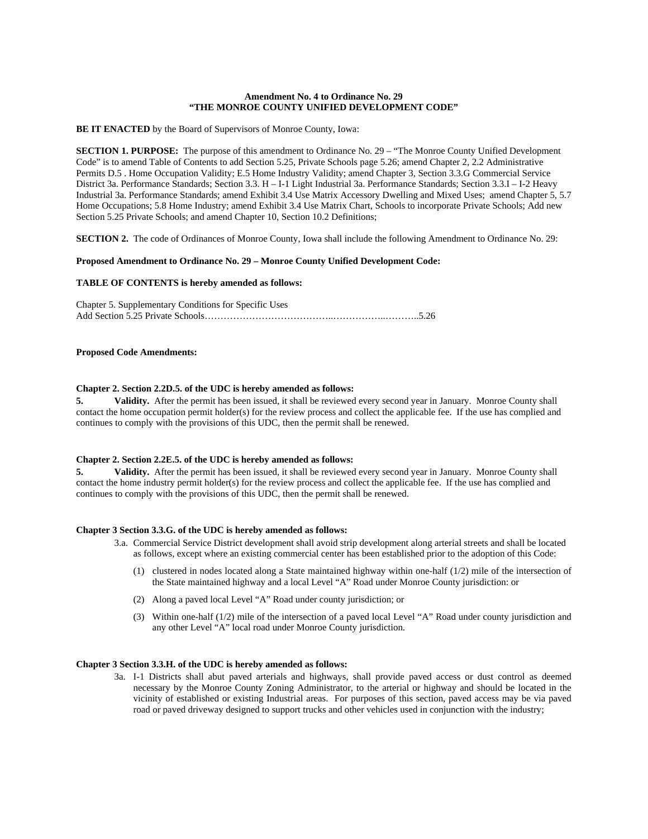#### **Amendment No. 4 to Ordinance No. 29 "THE MONROE COUNTY UNIFIED DEVELOPMENT CODE"**

**BE IT ENACTED** by the Board of Supervisors of Monroe County, Iowa:

**SECTION 1. PURPOSE:** The purpose of this amendment to Ordinance No. 29 – "The Monroe County Unified Development Code" is to amend Table of Contents to add Section 5.25, Private Schools page 5.26; amend Chapter 2, 2.2 Administrative Permits D.5 . Home Occupation Validity; E.5 Home Industry Validity; amend Chapter 3, Section 3.3.G Commercial Service District 3a. Performance Standards; Section 3.3. H – I-1 Light Industrial 3a. Performance Standards; Section 3.3.I – I-2 Heavy Industrial 3a. Performance Standards; amend Exhibit 3.4 Use Matrix Accessory Dwelling and Mixed Uses; amend Chapter 5, 5.7 Home Occupations; 5.8 Home Industry; amend Exhibit 3.4 Use Matrix Chart, Schools to incorporate Private Schools; Add new Section 5.25 Private Schools; and amend Chapter 10, Section 10.2 Definitions;

**SECTION 2.** The code of Ordinances of Monroe County, Iowa shall include the following Amendment to Ordinance No. 29:

## **Proposed Amendment to Ordinance No. 29 – Monroe County Unified Development Code:**

#### **TABLE OF CONTENTS is hereby amended as follows:**

Chapter 5. Supplementary Conditions for Specific Uses Add Section 5.25 Private Schools…………………………………..……………..………..5.26

#### **Proposed Code Amendments:**

## **Chapter 2. Section 2.2D.5. of the UDC is hereby amended as follows:**

**5. Validity.** After the permit has been issued, it shall be reviewed every second year in January. Monroe County shall contact the home occupation permit holder(s) for the review process and collect the applicable fee. If the use has complied and continues to comply with the provisions of this UDC, then the permit shall be renewed.

#### **Chapter 2. Section 2.2E.5. of the UDC is hereby amended as follows:**

**5.** Validity. After the permit has been issued, it shall be reviewed every second year in January. Monroe County shall contact the home industry permit holder(s) for the review process and collect the applicable fee. If the use has complied and continues to comply with the provisions of this UDC, then the permit shall be renewed.

### **Chapter 3 Section 3.3.G. of the UDC is hereby amended as follows:**

- 3.a. Commercial Service District development shall avoid strip development along arterial streets and shall be located as follows, except where an existing commercial center has been established prior to the adoption of this Code:
	- (1) clustered in nodes located along a State maintained highway within one-half (1/2) mile of the intersection of the State maintained highway and a local Level "A" Road under Monroe County jurisdiction: or
	- (2) Along a paved local Level "A" Road under county jurisdiction; or
	- (3) Within one-half (1/2) mile of the intersection of a paved local Level "A" Road under county jurisdiction and any other Level "A" local road under Monroe County jurisdiction.

# **Chapter 3 Section 3.3.H. of the UDC is hereby amended as follows:**

3a. I-1 Districts shall abut paved arterials and highways, shall provide paved access or dust control as deemed necessary by the Monroe County Zoning Administrator, to the arterial or highway and should be located in the vicinity of established or existing Industrial areas. For purposes of this section, paved access may be via paved road or paved driveway designed to support trucks and other vehicles used in conjunction with the industry;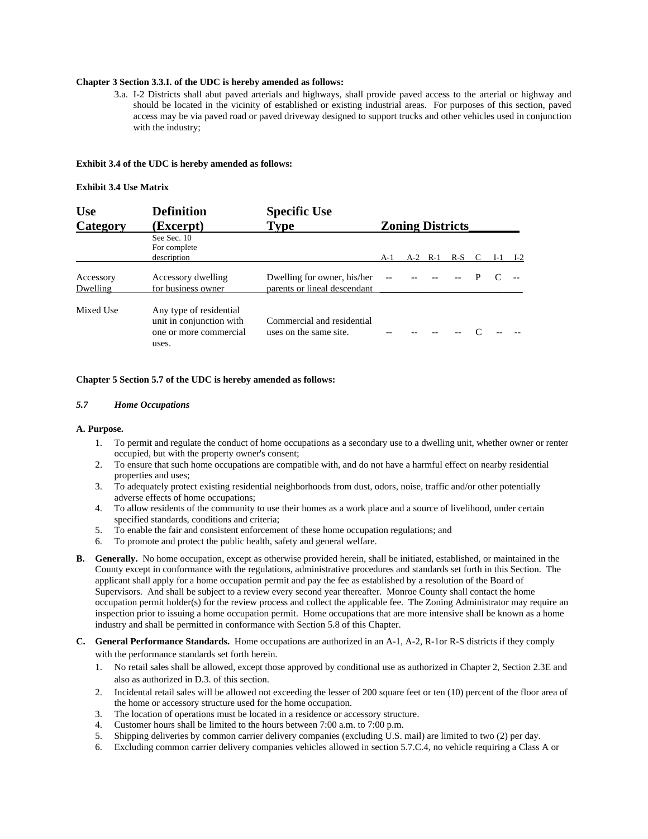## **Chapter 3 Section 3.3.I. of the UDC is hereby amended as follows:**

3.a. I-2 Districts shall abut paved arterials and highways, shall provide paved access to the arterial or highway and should be located in the vicinity of established or existing industrial areas. For purposes of this section, paved access may be via paved road or paved driveway designed to support trucks and other vehicles used in conjunction with the industry;

#### **Exhibit 3.4 of the UDC is hereby amended as follows:**

#### **Exhibit 3.4 Use Matrix**

| <b>Use</b>            | <b>Definition</b><br>(Excerpt)<br>See Sec. 10<br>For complete<br>description           | <b>Specific Use</b>                                         |                         |       |       |       |  |     |       |  |
|-----------------------|----------------------------------------------------------------------------------------|-------------------------------------------------------------|-------------------------|-------|-------|-------|--|-----|-------|--|
| Category              |                                                                                        | <b>Type</b>                                                 | <b>Zoning Districts</b> |       |       |       |  |     |       |  |
|                       |                                                                                        |                                                             | A-1                     | $A-2$ | $R-1$ | $R-S$ |  | I-I | $I-2$ |  |
| Accessory<br>Dwelling | Accessory dwelling<br>for business owner                                               | Dwelling for owner, his/her<br>parents or lineal descendant |                         |       |       |       |  |     |       |  |
| Mixed Use             | Any type of residential<br>unit in conjunction with<br>one or more commercial<br>uses. | Commercial and residential<br>uses on the same site.        |                         |       |       |       |  |     |       |  |

#### **Chapter 5 Section 5.7 of the UDC is hereby amended as follows:**

#### *5.7 Home Occupations*

#### **A. Purpose.**

- 1. To permit and regulate the conduct of home occupations as a secondary use to a dwelling unit, whether owner or renter occupied, but with the property owner's consent;
- 2. To ensure that such home occupations are compatible with, and do not have a harmful effect on nearby residential properties and uses;
- 3. To adequately protect existing residential neighborhoods from dust, odors, noise, traffic and/or other potentially adverse effects of home occupations;
- 4. To allow residents of the community to use their homes as a work place and a source of livelihood, under certain specified standards, conditions and criteria;
- 5. To enable the fair and consistent enforcement of these home occupation regulations; and
- 6. To promote and protect the public health, safety and general welfare.
- **B. Generally.** No home occupation, except as otherwise provided herein, shall be initiated, established, or maintained in the County except in conformance with the regulations, administrative procedures and standards set forth in this Section. The applicant shall apply for a home occupation permit and pay the fee as established by a resolution of the Board of Supervisors. And shall be subject to a review every second year thereafter. Monroe County shall contact the home occupation permit holder(s) for the review process and collect the applicable fee. The Zoning Administrator may require an inspection prior to issuing a home occupation permit. Home occupations that are more intensive shall be known as a home industry and shall be permitted in conformance with Section 5.8 of this Chapter.
- **C. General Performance Standards.** Home occupations are authorized in an A-1, A-2, R-1or R-S districts if they comply with the performance standards set forth herein.
	- 1. No retail sales shall be allowed, except those approved by conditional use as authorized in Chapter 2, Section 2.3E and also as authorized in D.3. of this section.
	- 2. Incidental retail sales will be allowed not exceeding the lesser of 200 square feet or ten (10) percent of the floor area of the home or accessory structure used for the home occupation.
	- 3. The location of operations must be located in a residence or accessory structure.
	- 4. Customer hours shall be limited to the hours between 7:00 a.m. to 7:00 p.m.
	- 5. Shipping deliveries by common carrier delivery companies (excluding U.S. mail) are limited to two (2) per day.
	- 6. Excluding common carrier delivery companies vehicles allowed in section 5.7.C.4, no vehicle requiring a Class A or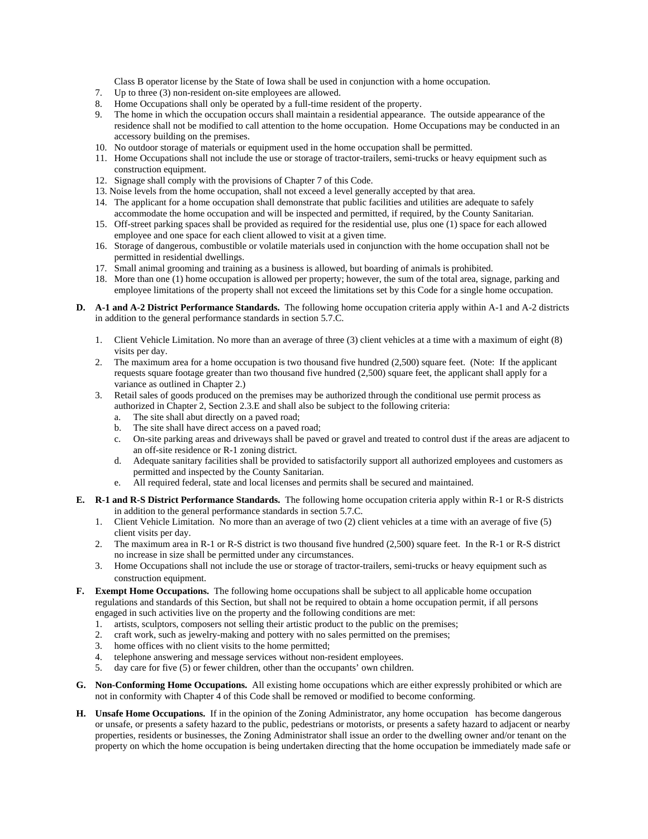Class B operator license by the State of Iowa shall be used in conjunction with a home occupation.

- 7. Up to three (3) non-resident on-site employees are allowed.
- 8. Home Occupations shall only be operated by a full-time resident of the property.
- 9. The home in which the occupation occurs shall maintain a residential appearance. The outside appearance of the residence shall not be modified to call attention to the home occupation. Home Occupations may be conducted in an accessory building on the premises.
- 10. No outdoor storage of materials or equipment used in the home occupation shall be permitted.
- 11. Home Occupations shall not include the use or storage of tractor-trailers, semi-trucks or heavy equipment such as construction equipment.
- 12. Signage shall comply with the provisions of Chapter 7 of this Code.
- 13. Noise levels from the home occupation, shall not exceed a level generally accepted by that area.
- 14. The applicant for a home occupation shall demonstrate that public facilities and utilities are adequate to safely accommodate the home occupation and will be inspected and permitted, if required, by the County Sanitarian.
- 15. Off-street parking spaces shall be provided as required for the residential use, plus one (1) space for each allowed employee and one space for each client allowed to visit at a given time.
- 16. Storage of dangerous, combustible or volatile materials used in conjunction with the home occupation shall not be permitted in residential dwellings.
- 17. Small animal grooming and training as a business is allowed, but boarding of animals is prohibited.
- 18. More than one (1) home occupation is allowed per property; however, the sum of the total area, signage, parking and employee limitations of the property shall not exceed the limitations set by this Code for a single home occupation.
- **D. A-1 and A-2 District Performance Standards.** The following home occupation criteria apply within A-1 and A-2 districts in addition to the general performance standards in section 5.7.C.
	- 1. Client Vehicle Limitation. No more than an average of three (3) client vehicles at a time with a maximum of eight (8) visits per day.
	- 2. The maximum area for a home occupation is two thousand five hundred (2,500) square feet. (Note: If the applicant requests square footage greater than two thousand five hundred (2,500) square feet, the applicant shall apply for a variance as outlined in Chapter 2.)
	- 3. Retail sales of goods produced on the premises may be authorized through the conditional use permit process as authorized in Chapter 2, Section 2.3.E and shall also be subject to the following criteria:
		- a. The site shall abut directly on a paved road;
		- b. The site shall have direct access on a paved road;
		- c. On-site parking areas and driveways shall be paved or gravel and treated to control dust if the areas are adjacent to an off-site residence or R-1 zoning district.
		- d. Adequate sanitary facilities shall be provided to satisfactorily support all authorized employees and customers as permitted and inspected by the County Sanitarian.
		- e. All required federal, state and local licenses and permits shall be secured and maintained.
- **E. R-1 and R-S District Performance Standards.** The following home occupation criteria apply within R-1 or R-S districts in addition to the general performance standards in section 5.7.C.
	- 1. Client Vehicle Limitation. No more than an average of two (2) client vehicles at a time with an average of five (5) client visits per day.
	- 2. The maximum area in R-1 or R-S district is two thousand five hundred (2,500) square feet. In the R-1 or R-S district no increase in size shall be permitted under any circumstances.
	- 3. Home Occupations shall not include the use or storage of tractor-trailers, semi-trucks or heavy equipment such as construction equipment.
- **F. Exempt Home Occupations.** The following home occupations shall be subject to all applicable home occupation regulations and standards of this Section, but shall not be required to obtain a home occupation permit, if all persons engaged in such activities live on the property and the following conditions are met:
	- 1. artists, sculptors, composers not selling their artistic product to the public on the premises;
	- 2. craft work, such as jewelry-making and pottery with no sales permitted on the premises;
	- 3. home offices with no client visits to the home permitted;
	- 4. telephone answering and message services without non-resident employees.
	- day care for five (5) or fewer children, other than the occupants' own children.
- **G. Non-Conforming Home Occupations.** All existing home occupations which are either expressly prohibited or which are not in conformity with Chapter 4 of this Code shall be removed or modified to become conforming.
- **H. Unsafe Home Occupations.** If in the opinion of the Zoning Administrator, any home occupation has become dangerous or unsafe, or presents a safety hazard to the public, pedestrians or motorists, or presents a safety hazard to adjacent or nearby properties, residents or businesses, the Zoning Administrator shall issue an order to the dwelling owner and/or tenant on the property on which the home occupation is being undertaken directing that the home occupation be immediately made safe or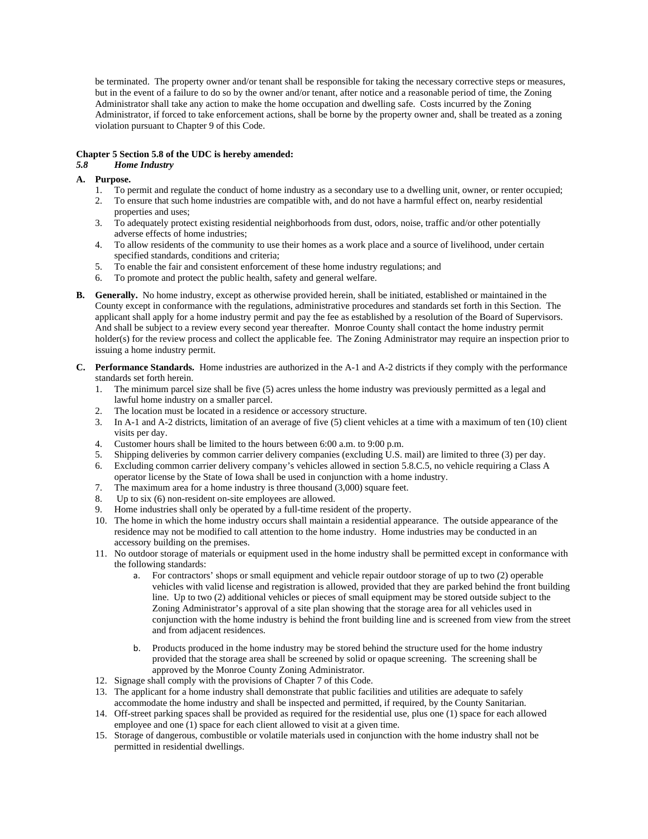be terminated. The property owner and/or tenant shall be responsible for taking the necessary corrective steps or measures, but in the event of a failure to do so by the owner and/or tenant, after notice and a reasonable period of time, the Zoning Administrator shall take any action to make the home occupation and dwelling safe. Costs incurred by the Zoning Administrator, if forced to take enforcement actions, shall be borne by the property owner and, shall be treated as a zoning violation pursuant to Chapter 9 of this Code.

# **Chapter 5 Section 5.8 of the UDC is hereby amended:**

# *5.8 Home Industry*

- **A. Purpose.**
	- 1. To permit and regulate the conduct of home industry as a secondary use to a dwelling unit, owner, or renter occupied;
	- 2. To ensure that such home industries are compatible with, and do not have a harmful effect on, nearby residential properties and uses;
	- 3. To adequately protect existing residential neighborhoods from dust, odors, noise, traffic and/or other potentially adverse effects of home industries;
	- 4. To allow residents of the community to use their homes as a work place and a source of livelihood, under certain specified standards, conditions and criteria;
	- 5. To enable the fair and consistent enforcement of these home industry regulations; and
	- 6. To promote and protect the public health, safety and general welfare.
- **B. Generally.** No home industry, except as otherwise provided herein, shall be initiated, established or maintained in the County except in conformance with the regulations, administrative procedures and standards set forth in this Section. The applicant shall apply for a home industry permit and pay the fee as established by a resolution of the Board of Supervisors. And shall be subject to a review every second year thereafter. Monroe County shall contact the home industry permit holder(s) for the review process and collect the applicable fee. The Zoning Administrator may require an inspection prior to issuing a home industry permit.
- **C. Performance Standards.** Home industries are authorized in the A-1 and A-2 districts if they comply with the performance standards set forth herein.
	- 1. The minimum parcel size shall be five (5) acres unless the home industry was previously permitted as a legal and lawful home industry on a smaller parcel.
	- 2. The location must be located in a residence or accessory structure.
	- 3. In A-1 and A-2 districts, limitation of an average of five (5) client vehicles at a time with a maximum of ten (10) client visits per day.
	- 4. Customer hours shall be limited to the hours between 6:00 a.m. to 9:00 p.m.
	- 5. Shipping deliveries by common carrier delivery companies (excluding  $\dot{U}$ .S. mail) are limited to three (3) per day.
	- 6. Excluding common carrier delivery company's vehicles allowed in section 5.8.C.5, no vehicle requiring a Class A operator license by the State of Iowa shall be used in conjunction with a home industry.
	- 7. The maximum area for a home industry is three thousand (3,000) square feet.
	- 8. Up to six (6) non-resident on-site employees are allowed.<br>9. Home industries shall sales in the employees are allowed.
	- Home industries shall only be operated by a full-time resident of the property.
	- 10. The home in which the home industry occurs shall maintain a residential appearance. The outside appearance of the residence may not be modified to call attention to the home industry. Home industries may be conducted in an accessory building on the premises.
	- 11. No outdoor storage of materials or equipment used in the home industry shall be permitted except in conformance with the following standards:
		- a. For contractors' shops or small equipment and vehicle repair outdoor storage of up to two (2) operable vehicles with valid license and registration is allowed, provided that they are parked behind the front building line. Up to two (2) additional vehicles or pieces of small equipment may be stored outside subject to the Zoning Administrator's approval of a site plan showing that the storage area for all vehicles used in conjunction with the home industry is behind the front building line and is screened from view from the street and from adjacent residences.
		- b. Products produced in the home industry may be stored behind the structure used for the home industry provided that the storage area shall be screened by solid or opaque screening. The screening shall be approved by the Monroe County Zoning Administrator.
	- 12. Signage shall comply with the provisions of Chapter 7 of this Code.
	- 13. The applicant for a home industry shall demonstrate that public facilities and utilities are adequate to safely accommodate the home industry and shall be inspected and permitted, if required, by the County Sanitarian.
	- 14. Off-street parking spaces shall be provided as required for the residential use, plus one (1) space for each allowed employee and one (1) space for each client allowed to visit at a given time.
	- 15. Storage of dangerous, combustible or volatile materials used in conjunction with the home industry shall not be permitted in residential dwellings.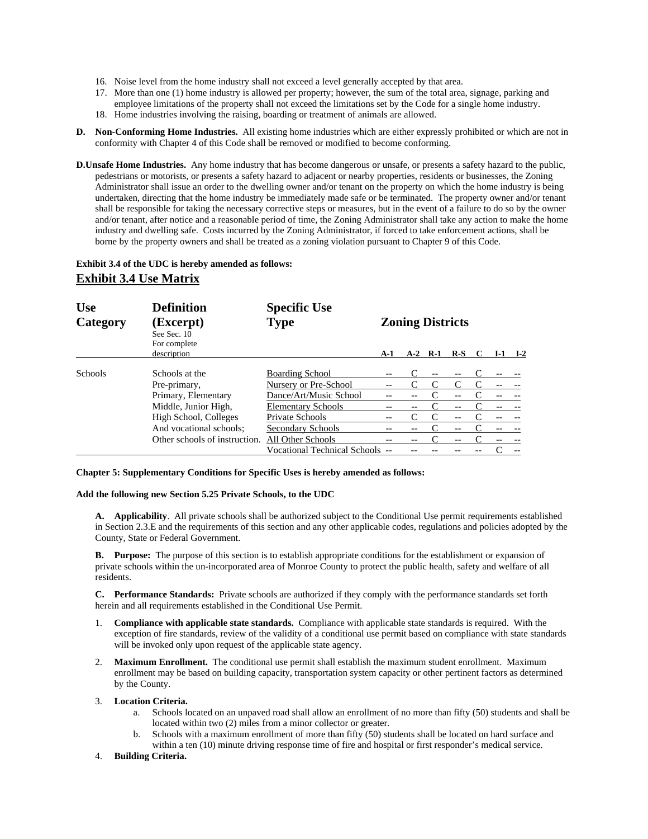- 16. Noise level from the home industry shall not exceed a level generally accepted by that area.
- 17. More than one (1) home industry is allowed per property; however, the sum of the total area, signage, parking and employee limitations of the property shall not exceed the limitations set by the Code for a single home industry.
- 18. Home industries involving the raising, boarding or treatment of animals are allowed.
- **D. Non-Conforming Home Industries.** All existing home industries which are either expressly prohibited or which are not in conformity with Chapter 4 of this Code shall be removed or modified to become conforming.
- **D.Unsafe Home Industries.** Any home industry that has become dangerous or unsafe, or presents a safety hazard to the public, pedestrians or motorists, or presents a safety hazard to adjacent or nearby properties, residents or businesses, the Zoning Administrator shall issue an order to the dwelling owner and/or tenant on the property on which the home industry is being undertaken, directing that the home industry be immediately made safe or be terminated. The property owner and/or tenant shall be responsible for taking the necessary corrective steps or measures, but in the event of a failure to do so by the owner and/or tenant, after notice and a reasonable period of time, the Zoning Administrator shall take any action to make the home industry and dwelling safe. Costs incurred by the Zoning Administrator, if forced to take enforcement actions, shall be borne by the property owners and shall be treated as a zoning violation pursuant to Chapter 9 of this Code.

# **Exhibit 3.4 of the UDC is hereby amended as follows:**

# **Exhibit 3.4 Use Matrix**

| <b>Use</b><br>Category | <b>Definition</b><br>(Excerpt)<br>See Sec. 10<br>For complete | <b>Specific Use</b><br><b>Type</b> | <b>Zoning Districts</b> |       |       |       |  |     |       |  |
|------------------------|---------------------------------------------------------------|------------------------------------|-------------------------|-------|-------|-------|--|-----|-------|--|
|                        | description                                                   |                                    | A-1                     | $A-2$ | $R-1$ | $R-S$ |  | I-1 | $I-2$ |  |
| <b>Schools</b>         | Schools at the                                                | <b>Boarding School</b>             | $- -$                   |       | $-$   |       |  |     |       |  |
|                        | Pre-primary,                                                  | Nursery or Pre-School              |                         |       |       |       |  |     |       |  |
|                        | Primary, Elementary                                           | Dance/Art/Music School             |                         |       |       |       |  |     |       |  |
|                        | Middle, Junior High,                                          | <b>Elementary Schools</b>          |                         |       |       |       |  |     |       |  |
|                        | High School, Colleges                                         | Private Schools                    |                         |       |       |       |  |     |       |  |
|                        | And vocational schools;                                       | Secondary Schools                  |                         |       |       |       |  |     |       |  |
|                        | Other schools of instruction.                                 | All Other Schools                  |                         |       |       |       |  |     |       |  |
|                        |                                                               | Vocational Technical Schools --    |                         |       |       |       |  |     |       |  |

**Chapter 5: Supplementary Conditions for Specific Uses is hereby amended as follows:** 

**Add the following new Section 5.25 Private Schools, to the UDC** 

**A. Applicability**. All private schools shall be authorized subject to the Conditional Use permit requirements established in Section 2.3.E and the requirements of this section and any other applicable codes, regulations and policies adopted by the County, State or Federal Government.

**B. Purpose:** The purpose of this section is to establish appropriate conditions for the establishment or expansion of private schools within the un-incorporated area of Monroe County to protect the public health, safety and welfare of all residents.

**C. Performance Standards:** Private schools are authorized if they comply with the performance standards set forth herein and all requirements established in the Conditional Use Permit.

- 1. **Compliance with applicable state standards.** Compliance with applicable state standards is required. With the exception of fire standards, review of the validity of a conditional use permit based on compliance with state standards will be invoked only upon request of the applicable state agency.
- 2. **Maximum Enrollment.** The conditional use permit shall establish the maximum student enrollment. Maximum enrollment may be based on building capacity, transportation system capacity or other pertinent factors as determined by the County.
- 3. **Location Criteria.**
	- a. Schools located on an unpaved road shall allow an enrollment of no more than fifty (50) students and shall be located within two (2) miles from a minor collector or greater.
	- b. Schools with a maximum enrollment of more than fifty (50) students shall be located on hard surface and within a ten (10) minute driving response time of fire and hospital or first responder's medical service.
- 4. **Building Criteria.**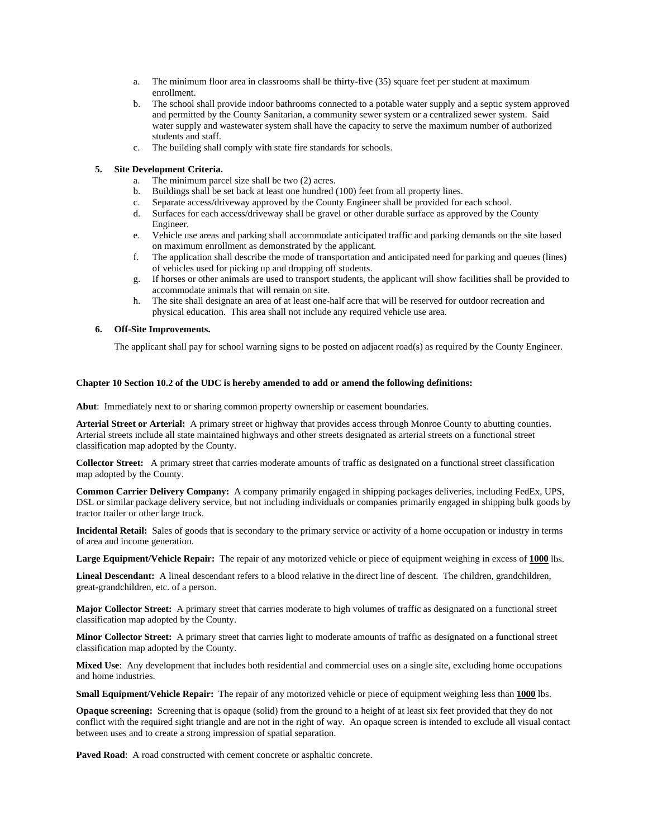- a. The minimum floor area in classrooms shall be thirty-five (35) square feet per student at maximum enrollment.
- b. The school shall provide indoor bathrooms connected to a potable water supply and a septic system approved and permitted by the County Sanitarian, a community sewer system or a centralized sewer system. Said water supply and wastewater system shall have the capacity to serve the maximum number of authorized students and staff.
- c. The building shall comply with state fire standards for schools.

# **5. Site Development Criteria.**

- a. The minimum parcel size shall be two (2) acres.
- b. Buildings shall be set back at least one hundred (100) feet from all property lines.
- c. Separate access/driveway approved by the County Engineer shall be provided for each school.
- d. Surfaces for each access/driveway shall be gravel or other durable surface as approved by the County Engineer.
- e. Vehicle use areas and parking shall accommodate anticipated traffic and parking demands on the site based on maximum enrollment as demonstrated by the applicant.
- f. The application shall describe the mode of transportation and anticipated need for parking and queues (lines) of vehicles used for picking up and dropping off students.
- g. If horses or other animals are used to transport students, the applicant will show facilities shall be provided to accommodate animals that will remain on site.
- h. The site shall designate an area of at least one-half acre that will be reserved for outdoor recreation and physical education. This area shall not include any required vehicle use area.

### **6. Off-Site Improvements.**

The applicant shall pay for school warning signs to be posted on adjacent road(s) as required by the County Engineer.

## **Chapter 10 Section 10.2 of the UDC is hereby amended to add or amend the following definitions:**

**Abut**: Immediately next to or sharing common property ownership or easement boundaries.

 **Arterial Street or Arterial:** A primary street or highway that provides access through Monroe County to abutting counties. Arterial streets include all state maintained highways and other streets designated as arterial streets on a functional street classification map adopted by the County.

**Collector Street:** A primary street that carries moderate amounts of traffic as designated on a functional street classification map adopted by the County.

**Common Carrier Delivery Company:** A company primarily engaged in shipping packages deliveries, including FedEx, UPS, DSL or similar package delivery service, but not including individuals or companies primarily engaged in shipping bulk goods by tractor trailer or other large truck.

**Incidental Retail:** Sales of goods that is secondary to the primary service or activity of a home occupation or industry in terms of area and income generation.

**Large Equipment/Vehicle Repair:** The repair of any motorized vehicle or piece of equipment weighing in excess of **1000** lbs.

**Lineal Descendant:** A lineal descendant refers to a blood relative in the direct line of descent. The children, grandchildren, great-grandchildren, etc. of a person.

**Major Collector Street:** A primary street that carries moderate to high volumes of traffic as designated on a functional street classification map adopted by the County.

**Minor Collector Street:** A primary street that carries light to moderate amounts of traffic as designated on a functional street classification map adopted by the County.

**Mixed Use**: Any development that includes both residential and commercial uses on a single site, excluding home occupations and home industries.

**Small Equipment/Vehicle Repair:** The repair of any motorized vehicle or piece of equipment weighing less than **1000** lbs.

**Opaque screening:** Screening that is opaque (solid) from the ground to a height of at least six feet provided that they do not conflict with the required sight triangle and are not in the right of way. An opaque screen is intended to exclude all visual contact between uses and to create a strong impression of spatial separation.

Paved Road: A road constructed with cement concrete or asphaltic concrete.